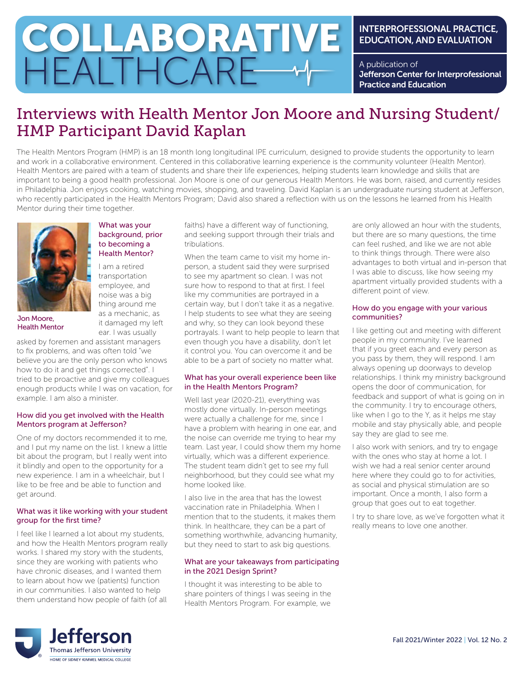# COLLABORATIVE HEALTHCARE

### INTERPROFESSIONAL PRACTICE, EDUCATION, AND EVALUATION

A publication of Jefferson Center for Interprofessional Practice and Education

## Interviews with Health Mentor Jon Moore and Nursing Student/ HMP Participant David Kaplan

The Health Mentors Program (HMP) is an 18 month long longitudinal IPE curriculum, designed to provide students the opportunity to learn and work in a collaborative environment. Centered in this collaborative learning experience is the community volunteer (Health Mentor). Health Mentors are paired with a team of students and share their life experiences, helping students learn knowledge and skills that are important to being a good health professional. Jon Moore is one of our generous Health Mentors. He was born, raised, and currently resides in Philadelphia. Jon enjoys cooking, watching movies, shopping, and traveling. David Kaplan is an undergraduate nursing student at Jefferson, who recently participated in the Health Mentors Program; David also shared a reflection with us on the lessons he learned from his Health Mentor during their time together.



Jon Moore, Health Mentor

#### What was your background, prior to becoming a Health Mentor?

I am a retired transportation employee, and noise was a big thing around me as a mechanic, as it damaged my left

ear. I was usually asked by foremen and assistant managers to fix problems, and was often told "we believe you are the only person who knows how to do it and get things corrected". I tried to be proactive and give my colleagues enough products while I was on vacation, for

#### How did you get involved with the Health Mentors program at Jefferson?

example. I am also a minister.

One of my doctors recommended it to me, and I put my name on the list. I knew a little bit about the program, but I really went into it blindly and open to the opportunity for a new experience. I am in a wheelchair, but I like to be free and be able to function and get around.

#### What was it like working with your student group for the first time?

I feel like I learned a lot about my students, and how the Health Mentors program really works. I shared my story with the students, since they are working with patients who have chronic diseases, and I wanted them to learn about how we (patients) function in our communities. I also wanted to help them understand how people of faith (of all

faiths) have a different way of functioning, and seeking support through their trials and tribulations.

When the team came to visit my home inperson, a student said they were surprised to see my apartment so clean. I was not sure how to respond to that at first. I feel like my communities are portrayed in a certain way, but I don't take it as a negative. I help students to see what they are seeing and why, so they can look beyond these portrayals. I want to help people to learn that even though you have a disability, don't let it control you. You can overcome it and be able to be a part of society no matter what.

#### What has your overall experience been like in the Health Mentors Program?

Well last year (2020-21), everything was mostly done virtually. In-person meetings were actually a challenge for me, since I have a problem with hearing in one ear, and the noise can override me trying to hear my team. Last year, I could show them my home virtually, which was a different experience. The student team didn't get to see my full neighborhood, but they could see what my home looked like.

I also live in the area that has the lowest vaccination rate in Philadelphia. When I mention that to the students, it makes them think. In healthcare, they can be a part of something worthwhile, advancing humanity, but they need to start to ask big questions.

#### What are your takeaways from participating in the 2021 Design Sprint?

I thought it was interesting to be able to share pointers of things I was seeing in the Health Mentors Program. For example, we

are only allowed an hour with the students, but there are so many questions, the time can feel rushed, and like we are not able to think things through. There were also advantages to both virtual and in-person that I was able to discuss, like how seeing my apartment virtually provided students with a different point of view.

#### How do you engage with your various communities?

I like getting out and meeting with different people in my community. I've learned that if you greet each and every person as you pass by them, they will respond. I am always opening up doorways to develop relationships. I think my ministry background opens the door of communication, for feedback and support of what is going on in the community. I try to encourage others, like when I go to the Y, as it helps me stay mobile and stay physically able, and people say they are glad to see me.

I also work with seniors, and try to engage with the ones who stay at home a lot. I wish we had a real senior center around here where they could go to for activities, as social and physical stimulation are so important. Once a month, I also form a group that goes out to eat together.

I try to share love, as we've forgotten what it really means to love one another.